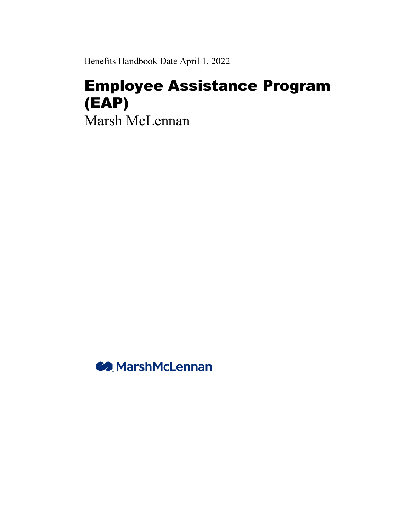Benefits Handbook Date April 1, 2022

# Employee Assistance Program (EAP) Marsh McLennan

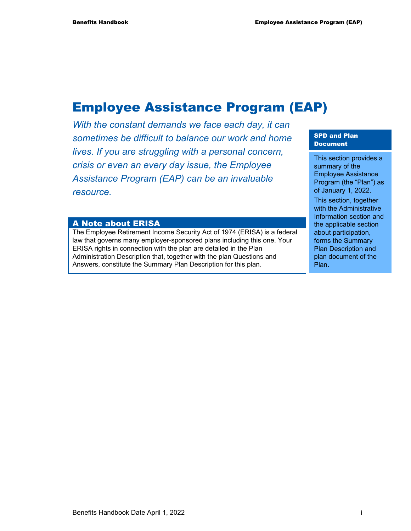# Employee Assistance Program (EAP)

*With the constant demands we face each day, it can sometimes be difficult to balance our work and home lives. If you are struggling with a personal concern, crisis or even an every day issue, the Employee Assistance Program (EAP) can be an invaluable resource.* 

#### A Note about ERISA

The Employee Retirement Income Security Act of 1974 (ERISA) is a federal law that governs many employer-sponsored plans including this one. Your ERISA rights in connection with the plan are detailed in the Plan Administration Description that, together with the plan Questions and Answers, constitute the Summary Plan Description for this plan.

#### SPD and Plan Document

This section provides a summary of the Employee Assistance Program (the "Plan") as of January 1, 2022.

This section, together with the Administrative Information section and the applicable section about participation, forms the Summary Plan Description and plan document of the Plan.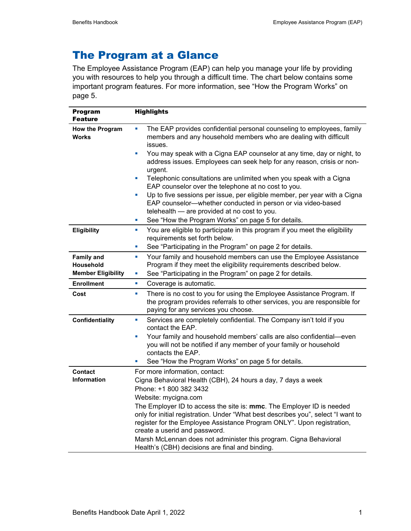# The Program at a Glance

The Employee Assistance Program (EAP) can help you manage your life by providing you with resources to help you through a difficult time. The chart below contains some important program features. For more information, see "How the Program Works" on page 5.

| <b>Program</b><br><b>Feature</b>       | <b>Highlights</b>                                                                                                                                                                               |
|----------------------------------------|-------------------------------------------------------------------------------------------------------------------------------------------------------------------------------------------------|
| <b>How the Program</b><br><b>Works</b> | The EAP provides confidential personal counseling to employees, family<br>L.<br>members and any household members who are dealing with difficult<br>issues.                                     |
|                                        | You may speak with a Cigna EAP counselor at any time, day or night, to<br>u,<br>address issues. Employees can seek help for any reason, crisis or non-<br>urgent.                               |
|                                        | Telephonic consultations are unlimited when you speak with a Cigna<br>EAP counselor over the telephone at no cost to you.                                                                       |
|                                        | Up to five sessions per issue, per eligible member, per year with a Cigna<br>L.<br>EAP counselor-whether conducted in person or via video-based<br>telehealth - are provided at no cost to you. |
|                                        | See "How the Program Works" on page 5 for details.<br>ш                                                                                                                                         |
| Eligibility                            | You are eligible to participate in this program if you meet the eligibility<br>ш<br>requirements set forth below.                                                                               |
|                                        | See "Participating in the Program" on page 2 for details.<br>L.                                                                                                                                 |
| <b>Family and</b><br>Household         | Your family and household members can use the Employee Assistance<br>ш<br>Program if they meet the eligibility requirements described below.                                                    |
| <b>Member Eligibility</b>              | See "Participating in the Program" on page 2 for details.<br>ш                                                                                                                                  |
| <b>Enrollment</b>                      | Coverage is automatic.<br>ш                                                                                                                                                                     |
| Cost                                   | There is no cost to you for using the Employee Assistance Program. If<br>ш<br>the program provides referrals to other services, you are responsible for<br>paying for any services you choose.  |
| <b>Confidentiality</b>                 | Services are completely confidential. The Company isn't told if you<br>ш<br>contact the EAP.                                                                                                    |
|                                        | Your family and household members' calls are also confidential-even<br>L.<br>you will not be notified if any member of your family or household<br>contacts the EAP.                            |
|                                        | See "How the Program Works" on page 5 for details.                                                                                                                                              |
| Contact                                | For more information, contact:                                                                                                                                                                  |
| <b>Information</b>                     | Cigna Behavioral Health (CBH), 24 hours a day, 7 days a week<br>Phone: +1 800 382 3432                                                                                                          |
|                                        | Website: mycigna.com                                                                                                                                                                            |
|                                        | The Employer ID to access the site is: <b>mmc</b> . The Employer ID is needed<br>only for initial registration. Under "What best describes you", select "I want to                              |
|                                        | register for the Employee Assistance Program ONLY". Upon registration,<br>create a userid and password.                                                                                         |
|                                        | Marsh McLennan does not administer this program. Cigna Behavioral                                                                                                                               |
|                                        | Health's (CBH) decisions are final and binding.                                                                                                                                                 |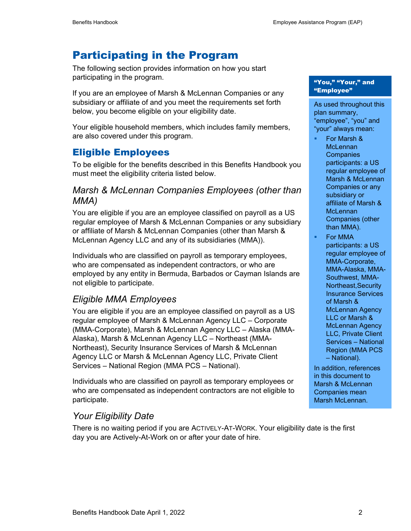# Participating in the Program

The following section provides information on how you start participating in the program.

If you are an employee of Marsh & McLennan Companies or any subsidiary or affiliate of and you meet the requirements set forth below, you become eligible on your eligibility date.

Your eligible household members, which includes family members, are also covered under this program.

#### Eligible Employees

To be eligible for the benefits described in this Benefits Handbook you must meet the eligibility criteria listed below.

#### *Marsh & McLennan Companies Employees (other than MMA)*

You are eligible if you are an employee classified on payroll as a US regular employee of Marsh & McLennan Companies or any subsidiary or affiliate of Marsh & McLennan Companies (other than Marsh & McLennan Agency LLC and any of its subsidiaries (MMA)).

Individuals who are classified on payroll as temporary employees, who are compensated as independent contractors, or who are employed by any entity in Bermuda, Barbados or Cayman Islands are not eligible to participate.

#### *Eligible MMA Employees*

You are eligible if you are an employee classified on payroll as a US regular employee of Marsh & McLennan Agency LLC – Corporate (MMA-Corporate), Marsh & McLennan Agency LLC – Alaska (MMA-Alaska), Marsh & McLennan Agency LLC – Northeast (MMA-Northeast), Security Insurance Services of Marsh & McLennan Agency LLC or Marsh & McLennan Agency LLC, Private Client Services – National Region (MMA PCS – National).

Individuals who are classified on payroll as temporary employees or who are compensated as independent contractors are not eligible to participate.

#### *Your Eligibility Date*

There is no waiting period if you are ACTIVELY-AT-WORK. Your eligibility date is the first day you are Actively-At-Work on or after your date of hire.

#### "You," "Your," and "Employee"

As used throughout this plan summary, "employee", "you" and "your" always mean:

- For Marsh & **McLennan Companies** participants: a US regular employee of Marsh & McLennan Companies or any subsidiary or affiliate of Marsh & **McLennan** Companies (other than MMA).
- For MMA participants: a US regular employee of MMA-Corporate, MMA-Alaska, MMA-Southwest, MMA-Northeast,Security Insurance Services of Marsh & McLennan Agency LLC or Marsh & McLennan Agency LLC, Private Client Services – National Region (MMA PCS – National).

In addition, references in this document to Marsh & McLennan Companies mean Marsh McLennan.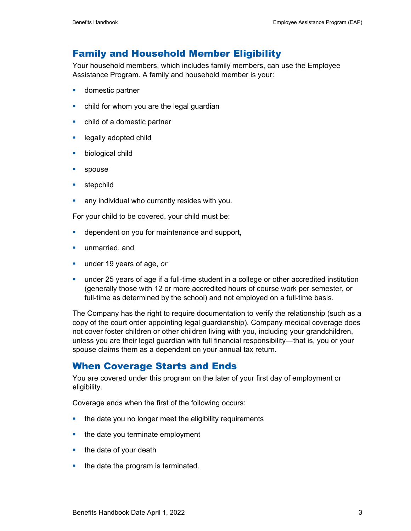#### Family and Household Member Eligibility

Your household members, which includes family members, can use the Employee Assistance Program. A family and household member is your:

- **domestic partner**
- child for whom you are the legal guardian
- child of a domestic partner
- **Example 2** legally adopted child
- **biological child**
- **spouse**
- **stepchild**
- **any individual who currently resides with you.**

For your child to be covered, your child must be:

- **-** dependent on you for maintenance and support,
- **unmarried, and**
- under 19 years of age, *or*
- under 25 years of age if a full-time student in a college or other accredited institution (generally those with 12 or more accredited hours of course work per semester, or full-time as determined by the school) and not employed on a full-time basis.

The Company has the right to require documentation to verify the relationship (such as a copy of the court order appointing legal guardianship). Company medical coverage does not cover foster children or other children living with you, including your grandchildren, unless you are their legal guardian with full financial responsibility—that is, you or your spouse claims them as a dependent on your annual tax return.

#### When Coverage Starts and Ends

You are covered under this program on the later of your first day of employment or eligibility.

Coverage ends when the first of the following occurs:

- the date you no longer meet the eligibility requirements
- the date you terminate employment
- $\blacksquare$  the date of your death
- $\blacksquare$  the date the program is terminated.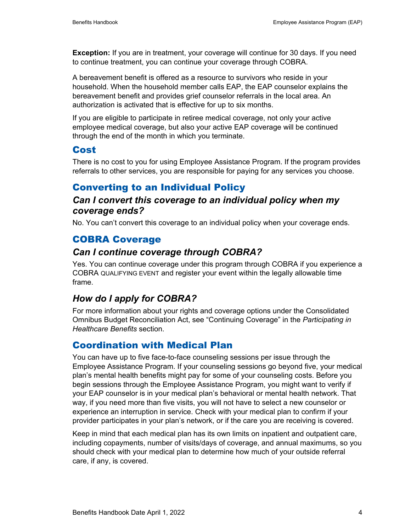**Exception:** If you are in treatment, your coverage will continue for 30 days. If you need to continue treatment, you can continue your coverage through COBRA.

A bereavement benefit is offered as a resource to survivors who reside in your household. When the household member calls EAP, the EAP counselor explains the bereavement benefit and provides grief counselor referrals in the local area. An authorization is activated that is effective for up to six months.

If you are eligible to participate in retiree medical coverage, not only your active employee medical coverage, but also your active EAP coverage will be continued through the end of the month in which you terminate.

#### Cost

There is no cost to you for using Employee Assistance Program. If the program provides referrals to other services, you are responsible for paying for any services you choose.

### Converting to an Individual Policy

#### *Can I convert this coverage to an individual policy when my coverage ends?*

No. You can't convert this coverage to an individual policy when your coverage ends.

### COBRA Coverage

#### *Can I continue coverage through COBRA?*

Yes. You can continue coverage under this program through COBRA if you experience a COBRA QUALIFYING EVENT and register your event within the legally allowable time frame.

## *How do I apply for COBRA?*

For more information about your rights and coverage options under the Consolidated Omnibus Budget Reconciliation Act, see "Continuing Coverage" in the *Participating in Healthcare Benefits* section.

## Coordination with Medical Plan

You can have up to five face-to-face counseling sessions per issue through the Employee Assistance Program. If your counseling sessions go beyond five, your medical plan's mental health benefits might pay for some of your counseling costs. Before you begin sessions through the Employee Assistance Program, you might want to verify if your EAP counselor is in your medical plan's behavioral or mental health network. That way, if you need more than five visits, you will not have to select a new counselor or experience an interruption in service. Check with your medical plan to confirm if your provider participates in your plan's network, or if the care you are receiving is covered.

Keep in mind that each medical plan has its own limits on inpatient and outpatient care, including copayments, number of visits/days of coverage, and annual maximums, so you should check with your medical plan to determine how much of your outside referral care, if any, is covered.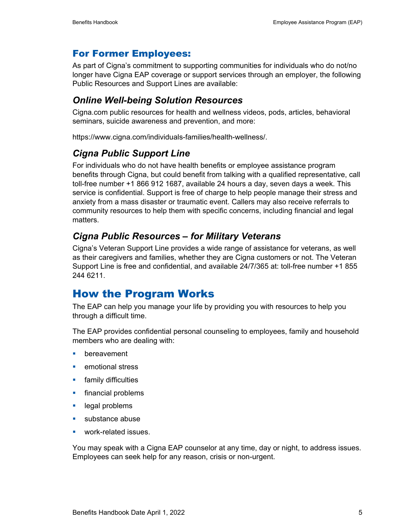#### For Former Employees:

As part of Cigna's commitment to supporting communities for individuals who do not/no longer have Cigna EAP coverage or support services through an employer, the following Public Resources and Support Lines are available:

#### *Online Well-being Solution Resources*

Cigna.com public resources for health and wellness videos, pods, articles, behavioral seminars, suicide awareness and prevention, and more:

https://www.cigna.com/individuals-families/health-wellness/.

#### *Cigna Public Support Line*

For individuals who do not have health benefits or employee assistance program benefits through Cigna, but could benefit from talking with a qualified representative, call toll-free number +1 866 912 1687, available 24 hours a day, seven days a week. This service is confidential. Support is free of charge to help people manage their stress and anxiety from a mass disaster or traumatic event. Callers may also receive referrals to community resources to help them with specific concerns, including financial and legal matters.

#### *Cigna Public Resources – for Military Veterans*

Cigna's Veteran Support Line provides a wide range of assistance for veterans, as well as their caregivers and families, whether they are Cigna customers or not. The Veteran Support Line is free and confidential, and available 24/7/365 at: toll-free number +1 855 244 6211.

# How the Program Works

The EAP can help you manage your life by providing you with resources to help you through a difficult time.

The EAP provides confidential personal counseling to employees, family and household members who are dealing with:

- **•** bereavement
- **E** emotional stress
- **family difficulties**
- **financial problems**
- **legal problems**
- **substance abuse**
- **•** work-related issues.

You may speak with a Cigna EAP counselor at any time, day or night, to address issues. Employees can seek help for any reason, crisis or non-urgent.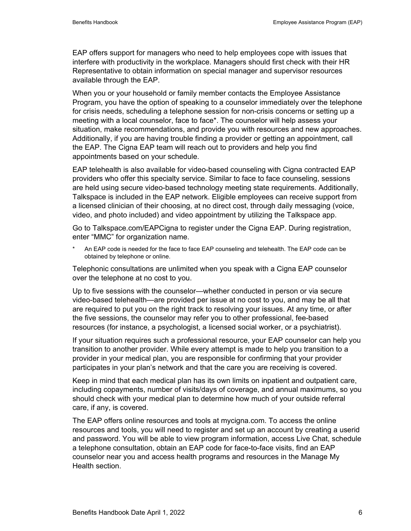EAP offers support for managers who need to help employees cope with issues that interfere with productivity in the workplace. Managers should first check with their HR Representative to obtain information on special manager and supervisor resources available through the EAP.

When you or your household or family member contacts the Employee Assistance Program, you have the option of speaking to a counselor immediately over the telephone for crisis needs, scheduling a telephone session for non-crisis concerns or setting up a meeting with a local counselor, face to face\*. The counselor will help assess your situation, make recommendations, and provide you with resources and new approaches. Additionally, if you are having trouble finding a provider or getting an appointment, call the EAP. The Cigna EAP team will reach out to providers and help you find appointments based on your schedule.

EAP telehealth is also available for video-based counseling with Cigna contracted EAP providers who offer this specialty service. Similar to face to face counseling, sessions are held using secure video-based technology meeting state requirements. Additionally, Talkspace is included in the EAP network. Eligible employees can receive support from a licensed clinician of their choosing, at no direct cost, through daily messaging (voice, video, and photo included) and video appointment by utilizing the Talkspace app.

Go to Talkspace.com/EAPCigna to register under the Cigna EAP. During registration, enter "MMC" for organization name.

An EAP code is needed for the face to face EAP counseling and telehealth. The EAP code can be obtained by telephone or online.

Telephonic consultations are unlimited when you speak with a Cigna EAP counselor over the telephone at no cost to you.

Up to five sessions with the counselor—whether conducted in person or via secure video-based telehealth—are provided per issue at no cost to you, and may be all that are required to put you on the right track to resolving your issues. At any time, or after the five sessions, the counselor may refer you to other professional, fee-based resources (for instance, a psychologist, a licensed social worker, or a psychiatrist).

If your situation requires such a professional resource, your EAP counselor can help you transition to another provider. While every attempt is made to help you transition to a provider in your medical plan, you are responsible for confirming that your provider participates in your plan's network and that the care you are receiving is covered.

Keep in mind that each medical plan has its own limits on inpatient and outpatient care, including copayments, number of visits/days of coverage, and annual maximums, so you should check with your medical plan to determine how much of your outside referral care, if any, is covered.

The EAP offers online resources and tools at mycigna.com. To access the online resources and tools, you will need to register and set up an account by creating a userid and password. You will be able to view program information, access Live Chat, schedule a telephone consultation, obtain an EAP code for face-to-face visits, find an EAP counselor near you and access health programs and resources in the Manage My Health section.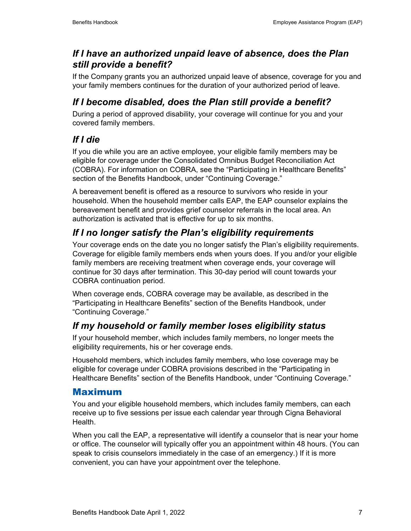#### *If I have an authorized unpaid leave of absence, does the Plan still provide a benefit?*

If the Company grants you an authorized unpaid leave of absence, coverage for you and your family members continues for the duration of your authorized period of leave.

## *If I become disabled, does the Plan still provide a benefit?*

During a period of approved disability, your coverage will continue for you and your covered family members.

## *If I die*

If you die while you are an active employee, your eligible family members may be eligible for coverage under the Consolidated Omnibus Budget Reconciliation Act (COBRA). For information on COBRA, see the "Participating in Healthcare Benefits" section of the Benefits Handbook, under "Continuing Coverage."

A bereavement benefit is offered as a resource to survivors who reside in your household. When the household member calls EAP, the EAP counselor explains the bereavement benefit and provides grief counselor referrals in the local area. An authorization is activated that is effective for up to six months.

# *If I no longer satisfy the Plan's eligibility requirements*

Your coverage ends on the date you no longer satisfy the Plan's eligibility requirements. Coverage for eligible family members ends when yours does. If you and/or your eligible family members are receiving treatment when coverage ends, your coverage will continue for 30 days after termination. This 30-day period will count towards your COBRA continuation period.

When coverage ends, COBRA coverage may be available, as described in the "Participating in Healthcare Benefits" section of the Benefits Handbook, under "Continuing Coverage."

# *If my household or family member loses eligibility status*

If your household member, which includes family members, no longer meets the eligibility requirements, his or her coverage ends.

Household members, which includes family members, who lose coverage may be eligible for coverage under COBRA provisions described in the "Participating in Healthcare Benefits" section of the Benefits Handbook, under "Continuing Coverage."

## Maximum

You and your eligible household members, which includes family members, can each receive up to five sessions per issue each calendar year through Cigna Behavioral **Health** 

When you call the EAP, a representative will identify a counselor that is near your home or office. The counselor will typically offer you an appointment within 48 hours. (You can speak to crisis counselors immediately in the case of an emergency.) If it is more convenient, you can have your appointment over the telephone.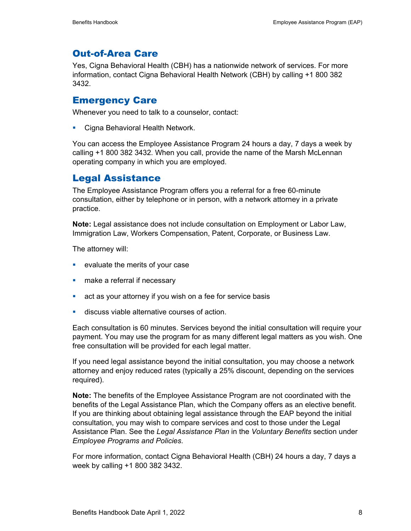### Out-of-Area Care

Yes, Cigna Behavioral Health (CBH) has a nationwide network of services. For more information, contact Cigna Behavioral Health Network (CBH) by calling +1 800 382 3432.

#### Emergency Care

Whenever you need to talk to a counselor, contact:

**Cigna Behavioral Health Network.** 

You can access the Employee Assistance Program 24 hours a day, 7 days a week by calling +1 800 382 3432. When you call, provide the name of the Marsh McLennan operating company in which you are employed.

### Legal Assistance

The Employee Assistance Program offers you a referral for a free 60-minute consultation, either by telephone or in person, with a network attorney in a private practice.

**Note:** Legal assistance does not include consultation on Employment or Labor Law, Immigration Law, Workers Compensation, Patent, Corporate, or Business Law.

The attorney will:

- **EXEC** evaluate the merits of your case
- **n** make a referral if necessary
- act as your attorney if you wish on a fee for service basis
- discuss viable alternative courses of action.

Each consultation is 60 minutes. Services beyond the initial consultation will require your payment. You may use the program for as many different legal matters as you wish. One free consultation will be provided for each legal matter.

If you need legal assistance beyond the initial consultation, you may choose a network attorney and enjoy reduced rates (typically a 25% discount, depending on the services required).

**Note:** The benefits of the Employee Assistance Program are not coordinated with the benefits of the Legal Assistance Plan, which the Company offers as an elective benefit. If you are thinking about obtaining legal assistance through the EAP beyond the initial consultation, you may wish to compare services and cost to those under the Legal Assistance Plan. See the *Legal Assistance Plan* in the *Voluntary Benefits* section under *Employee Programs and Policies*.

For more information, contact Cigna Behavioral Health (CBH) 24 hours a day, 7 days a week by calling +1 800 382 3432.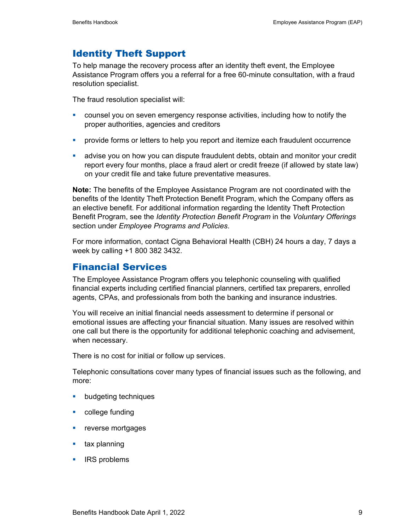#### Identity Theft Support

To help manage the recovery process after an identity theft event, the Employee Assistance Program offers you a referral for a free 60-minute consultation, with a fraud resolution specialist.

The fraud resolution specialist will:

- counsel you on seven emergency response activities, including how to notify the proper authorities, agencies and creditors
- **•** provide forms or letters to help you report and itemize each fraudulent occurrence
- advise you on how you can dispute fraudulent debts, obtain and monitor your credit report every four months, place a fraud alert or credit freeze (if allowed by state law) on your credit file and take future preventative measures.

**Note:** The benefits of the Employee Assistance Program are not coordinated with the benefits of the Identity Theft Protection Benefit Program, which the Company offers as an elective benefit. For additional information regarding the Identity Theft Protection Benefit Program, see the *Identity Protection Benefit Program* in the *Voluntary Offerings* section under *Employee Programs and Policies*.

For more information, contact Cigna Behavioral Health (CBH) 24 hours a day, 7 days a week by calling +1 800 382 3432.

#### Financial Services

The Employee Assistance Program offers you telephonic counseling with qualified financial experts including certified financial planners, certified tax preparers, enrolled agents, CPAs, and professionals from both the banking and insurance industries.

You will receive an initial financial needs assessment to determine if personal or emotional issues are affecting your financial situation. Many issues are resolved within one call but there is the opportunity for additional telephonic coaching and advisement, when necessary.

There is no cost for initial or follow up services.

Telephonic consultations cover many types of financial issues such as the following, and more:

- **budgeting techniques**
- **•** college funding
- **reverse mortgages**
- $\blacksquare$  tax planning
- **IRS** problems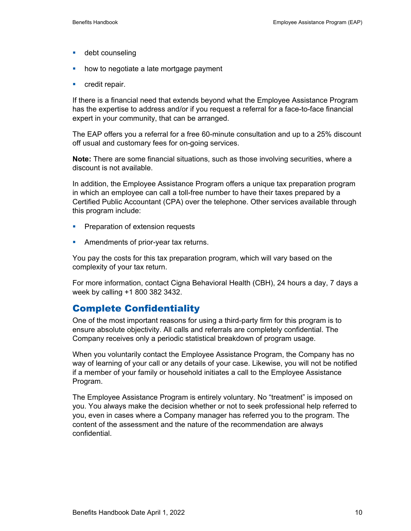- **debt counseling**
- how to negotiate a late mortgage payment
- **•** credit repair.

If there is a financial need that extends beyond what the Employee Assistance Program has the expertise to address and/or if you request a referral for a face-to-face financial expert in your community, that can be arranged.

The EAP offers you a referral for a free 60-minute consultation and up to a 25% discount off usual and customary fees for on-going services.

**Note:** There are some financial situations, such as those involving securities, where a discount is not available.

In addition, the Employee Assistance Program offers a unique tax preparation program in which an employee can call a toll-free number to have their taxes prepared by a Certified Public Accountant (CPA) over the telephone. Other services available through this program include:

- **Preparation of extension requests**
- **Amendments of prior-year tax returns.**

You pay the costs for this tax preparation program, which will vary based on the complexity of your tax return.

For more information, contact Cigna Behavioral Health (CBH), 24 hours a day, 7 days a week by calling +1 800 382 3432.

#### Complete Confidentiality

One of the most important reasons for using a third-party firm for this program is to ensure absolute objectivity. All calls and referrals are completely confidential. The Company receives only a periodic statistical breakdown of program usage.

When you voluntarily contact the Employee Assistance Program, the Company has no way of learning of your call or any details of your case. Likewise, you will not be notified if a member of your family or household initiates a call to the Employee Assistance Program.

The Employee Assistance Program is entirely voluntary. No "treatment" is imposed on you. You always make the decision whether or not to seek professional help referred to you, even in cases where a Company manager has referred you to the program. The content of the assessment and the nature of the recommendation are always confidential.